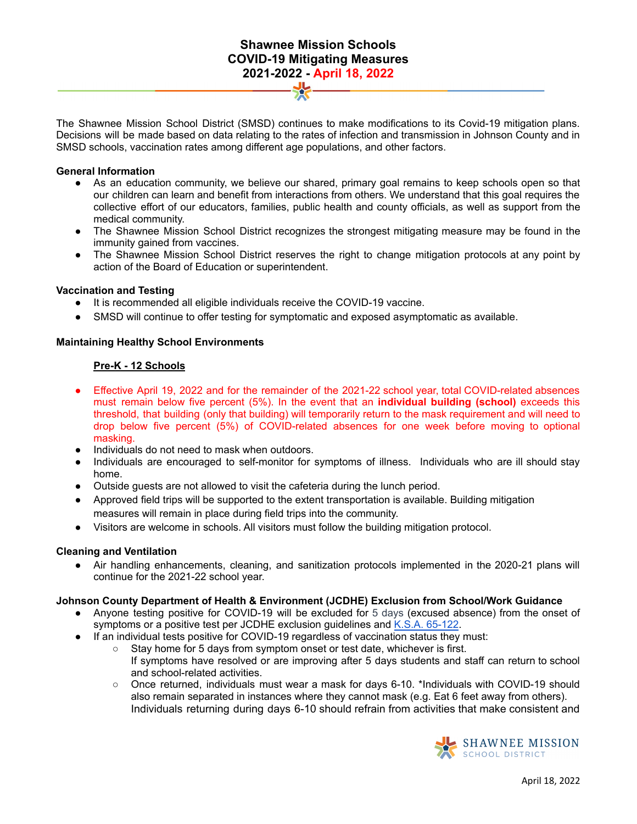# **Shawnee Mission Schools COVID-19 Mitigating Measures 2021-2022 - April 18, 2022**

The Shawnee Mission School District (SMSD) continues to make modifications to its Covid-19 mitigation plans. Decisions will be made based on data relating to the rates of infection and transmission in Johnson County and in SMSD schools, vaccination rates among different age populations, and other factors.

#### **General Information**

- As an education community, we believe our shared, primary goal remains to keep schools open so that our children can learn and benefit from interactions from others. We understand that this goal requires the collective effort of our educators, families, public health and county officials, as well as support from the medical community.
- The Shawnee Mission School District recognizes the strongest mitigating measure may be found in the immunity gained from vaccines.
- The Shawnee Mission School District reserves the right to change mitigation protocols at any point by action of the Board of Education or superintendent.

#### **Vaccination and Testing**

- It is recommended all eligible individuals receive the COVID-19 vaccine.
- SMSD will continue to offer testing for symptomatic and exposed asymptomatic as available.

### **Maintaining Healthy School Environments**

## **Pre-K - 12 Schools**

- Effective April 19, 2022 and for the remainder of the 2021-22 school year, total COVID-related absences must remain below five percent (5%). In the event that an **individual building (school)** exceeds this threshold, that building (only that building) will temporarily return to the mask requirement and will need to drop below five percent (5%) of COVID-related absences for one week before moving to optional masking.
- Individuals do not need to mask when outdoors.
- Individuals are encouraged to self-monitor for symptoms of illness. Individuals who are ill should stay home.
- Outside quests are not allowed to visit the cafeteria during the lunch period.
- Approved field trips will be supported to the extent transportation is available. Building mitigation measures will remain in place during field trips into the community.
- Visitors are welcome in schools. All visitors must follow the building mitigation protocol.

### **Cleaning and Ventilation**

Air handling enhancements, cleaning, and sanitization protocols implemented in the 2020-21 plans will continue for the 2021-22 school year.

### **Johnson County Department of Health & Environment (JCDHE) Exclusion from School/Work Guidance**

- Anyone testing positive for COVID-19 will be excluded for 5 days (excused absence) from the onset of symptoms or a positive test per JCDHE exclusion guidelines and K.S.A. 65-122.
- If an individual tests positive for COVID-19 regardless of vaccination status they must:
	- Stay home for 5 days from symptom onset or test date, whichever is first. If symptoms have resolved or are improving after 5 days students and staff can return to school and school-related activities.
	- Once returned, individuals must wear a mask for days 6-10. \*Individuals with COVID-19 should also remain separated in instances where they cannot mask (e.g. Eat 6 feet away from others). Individuals returning during days 6-10 should refrain from activities that make consistent and